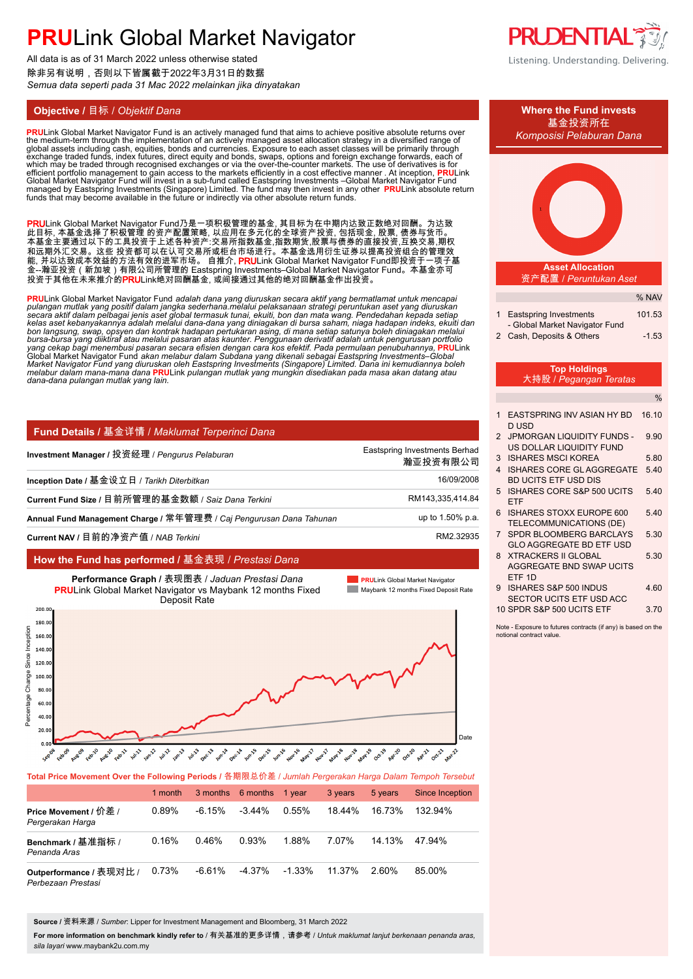All data is as of 31 March 2022 unless otherwise stated 除非另有说明,否则以下皆属截于2022年3月31日的数据 *Semua data seperti pada 31 Mac 2022 melainkan jika dinyatakan*

## **Objective /** 目标 / *Objektif Dana* **Where the Fund invests**

<mark>PRU</mark>Link Global Market Navigator Fund is an actively managed fund that aims to achieve positive absolute returns over<br>the medium-term through the implementation of an actively managed asset allocation strategy in a divers global assets including cash, equities, bonds and currencies. Exposure to each asset classes will be primarily through<br>exchange traded funds, index futures, direct equity and bonds, swaps, options and foreign exchange forw funds that may become available in the future or indirectly via other absolute return funds.

PRULink Global Market Navigator Fund乃是一项积极管理的基金, 其目标为在中期内达致正数绝对回酬。为达致 此目标, 本基金选择了积极管理 的资产配置策略, 以应用在多元化的全球资产投资, 包括现金, 股票, 债券与货币。 本基金主要通过以下的工具投资于上述各种资产:交易所指数基金,指数期货,股票与债券的直接投资,互换交易,期权 和远期外汇交易。这些 投资都可以在认可交易所或柜台市场进行。本基金选用衍生证券以提高投资组合的管理效 能, 并以达致成本效益的方法有效的进军市场。 自推介, **PRU**Link Global Market Navigator Fund即投资于一项子基 金--瀚亚投资(新加坡)有限公司所管理的 Eastspring Investments–Global Market Navigator Fund。本基金亦可 投资于其他在未来推介的**PRU**Link绝对回酬基金, 或间接通过其他的绝对回酬基金作出投资。

<mark>PRU</mark>Link Global Market Navigator Fund *adalah dana yang diuruskan secara aktif yang bermatlamat untuk mencapai<br>pulangan mutlak yang positif dalam jangka sederhana.melalui pelaksanaan strategi peruntukan aset yang diuruska* bon langsung, swap, opsyen dan kontrak hadapan pertukaran asing, di mana setiap satunya boleh diniagakan melalui<br>bursa-bursa yang diiktiraf atau melalui pasaran atas kaunter. Penggunaan derivatif adalah untuk pengurusan po yang cekap bagi menembusi pasaran secara efisien dengan cara kos efektif. Pada permulaan penubuhannya, <mark>PRU</mark>Link<br>Global Market Navigator Fund akan melabur dalam Subdana yang dikenali sebagai Eastspring Investments–Global Market Navigator Fŭnd yang diuruskan oleh Eastspring Investments (Singapore) Limited. Dana ini kemudiannya boleh<br>melabur dalam mana-mana dana <mark>PRU</mark>Link pulangan mutlak yang mungkin disediakan pada masa akan datang atau *dana-dana pulangan mutlak yang lain.* **.**

| Fund Details / 基金详情 / Maklumat Terperinci Dana                      |                                           |
|---------------------------------------------------------------------|-------------------------------------------|
| Investment Manager / 投资经理 / Pengurus Pelaburan                      | Eastspring Investments Berhad<br>瀚亚投资有限公司 |
| Inception Date / 基金设立日 / Tarikh Diterbitkan                         | 16/09/2008                                |
| Current Fund Size / 目前所管理的基金数额 / Saiz Dana Terkini                  | RM143,335,414.84                          |
| Annual Fund Management Charge / 常年管理费 / Caj Pengurusan Dana Tahunan | up to 1.50% p.a.                          |
| Current NAV / 目前的净资产值 / NAB Terkini                                 | RM2 32935                                 |

### **How the Fund has performed /** 基金表现 / *Prestasi Dana*



**Total Price Movement Over the Following Periods /** 各期限总价差 / *Jumlah Pergerakan Harga Dalam Tempoh Tersebut* 1 month 3 months 6 months 1 year 3 years 5 years Since Inception **Price Movement /** 价差 / *Pergerakan Harga* 0.89% 0.16% 0.73% -6.15% 0.46% -6.61% -3.44% 0.93% -4.37% 0.55% 1.88% -1.33% 18.44% 7.07% 11.37% 16.73% 14.13% 2.60% 132.94% 47.94% 85.00% **Benchmark /** 基准指标 / *Penanda Aras* **Outperformance /** 表现对比 / *Perbezaan Prestasi*

**Source /** 资料来源 / *Sumber*: Lipper for Investment Management and Bloomberg, 31 March 2022

**For more information on benchmark kindly refer to** / 有关基准的更多详情,请参考 / *Untuk maklumat lanjut berkenaan penanda aras, sila layari* www.maybank2u.com.my





- 3 ISHARES MSCI KOREA 5.80
- 4 ISHARES CORE GL AGGREGATE 5.40 BD UCITS ETF USD DIS
- 5 ISHARES CORE S&P 500 UCITS 5.40 ETF
- 6 ISHARES STOXX EUROPE 600 5.40 TELECOMMUNICATIONS (DE)
- 7 SPDR BLOOMBERG BARCLAYS 5.30 GLO AGGREGATE BD ETF USD
- 8 XTRACKERS II GLOBAL 5.30 AGGREGATE BND SWAP UCITS ETF 1D
- 9 ISHARES S&P 500 INDUS 4.60 SECTOR UCITS ETF USD ACC

10 SPDR S&P 500 UCITS ETF 3.70

Note - Exposure to futures contracts (if any) is based on the notional contract value.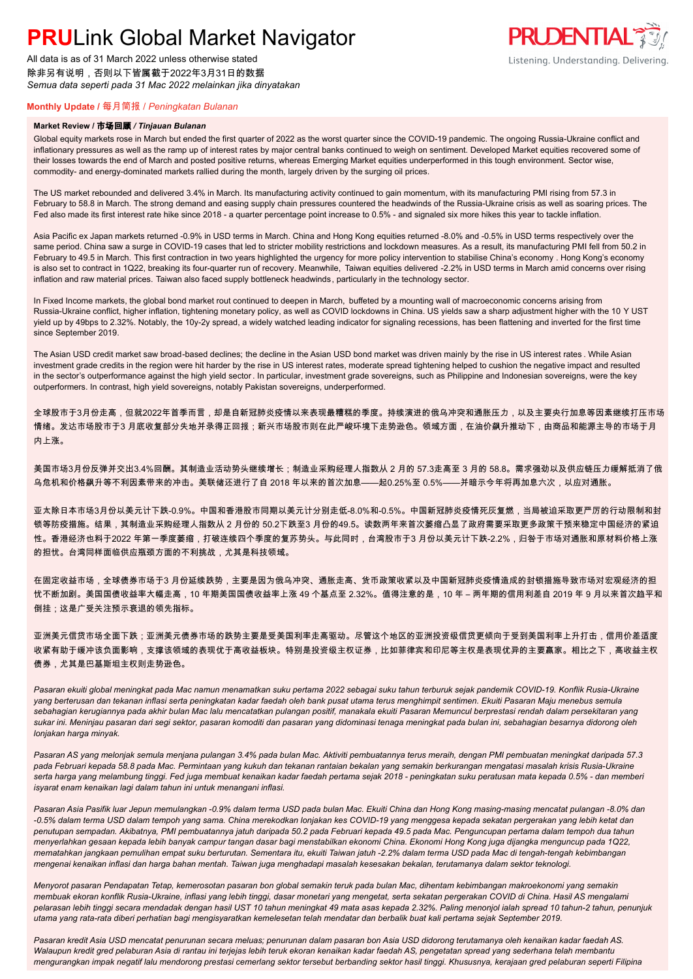All data is as of 31 March 2022 unless otherwise stated 除非另有说明,否则以下皆属截于2022年3月31日的数据 *Semua data seperti pada 31 Mac 2022 melainkan jika dinyatakan*



### **Monthly Update /** 每月简报 / *Peningkatan Bulanan*

#### **Market Review /** 市场回顾 */ Tinjauan Bulanan*

Global equity markets rose in March but ended the first quarter of 2022 as the worst quarter since the COVID-19 pandemic. The ongoing Russia-Ukraine conflict and inflationary pressures as well as the ramp up of interest rates by major central banks continued to weigh on sentiment. Developed Market equities recovered some of their losses towards the end of March and posted positive returns, whereas Emerging Market equities underperformed in this tough environment. Sector wise, commodity- and energy-dominated markets rallied during the month, largely driven by the surging oil prices.

The US market rebounded and delivered 3.4% in March. Its manufacturing activity continued to gain momentum, with its manufacturing PMI rising from 57.3 in February to 58.8 in March. The strong demand and easing supply chain pressures countered the headwinds of the Russia-Ukraine crisis as well as soaring prices. The Fed also made its first interest rate hike since 2018 - a quarter percentage point increase to 0.5% - and signaled six more hikes this year to tackle inflation.

Asia Pacific ex Japan markets returned -0.9% in USD terms in March. China and Hong Kong equities returned -8.0% and -0.5% in USD terms respectively over the same period. China saw a surge in COVID-19 cases that led to stricter mobility restrictions and lockdown measures. As a result, its manufacturing PMI fell from 50.2 in February to 49.5 in March. This first contraction in two years highlighted the urgency for more policy intervention to stabilise China's economy . Hong Kong's economy is also set to contract in 1Q22, breaking its four-quarter run of recovery. Meanwhile, Taiwan equities delivered -2.2% in USD terms in March amid concerns over rising inflation and raw material prices. Taiwan also faced supply bottleneck headwinds, particularly in the technology sector.

In Fixed Income markets, the global bond market rout continued to deepen in March, buffeted by a mounting wall of macroeconomic concerns arising from Russia-Ukraine conflict, higher inflation, tightening monetary policy, as well as COVID lockdowns in China. US yields saw a sharp adjustment higher with the 10 Y UST yield up by 49bps to 2.32%. Notably, the 10y-2y spread, a widely watched leading indicator for signaling recessions, has been flattening and inverted for the first time since September 2019.

The Asian USD credit market saw broad-based declines; the decline in the Asian USD bond market was driven mainly by the rise in US interest rates . While Asian investment grade credits in the region were hit harder by the rise in US interest rates, moderate spread tightening helped to cushion the negative impact and resulted in the sector's outperformance against the high yield sector. In particular, investment grade sovereigns, such as Philippine and Indonesian sovereigns, were the key outperformers. In contrast, high yield sovereigns, notably Pakistan sovereigns, underperformed.

全球股市于3月份走高,但就2022年首季而言,却是自新冠肺炎疫情以来表现最糟糕的季度。持续演进的俄乌冲突和通胀压力,以及主要央行加息等因素继续打压市场 情绪。发达市场股市于3 月底收复部分失地并录得正回报;新兴市场股市则在此严峻环境下走势逊色。领域方面,在油价飙升推动下,由商品和能源主导的市场于月 内上涨。

美国市场3月份反弹并交出3.4%回酬。其制造业活动势头继续增长;制造业采购经理人指数从 2 月的 57.3走高至 3 月的 58.8。需求强劲以及供应链压力缓解抵消了俄 乌危机和价格飙升等不利因素带来的冲击。美联储还进行了自 2018 年以来的首次加息——起0.25%至 0.5%——并暗示今年将再加息六次,以应对通胀。

亚太除日本市场3月份以美元计下跌-0.9%。中国和香港股市同期以美元计分别走低-8.0%和-0.5%。中国新冠肺炎疫情死灰复燃,当局被迫采取更严厉的行动限制和封 锁等防疫措施。结果,其制造业采购经理人指数从 2 月份的 50.2下跌至3 月份的49.5。读数两年来首次萎缩凸显了政府需要采取更多政策干预来稳定中国经济的紧迫 性。香港经济也料于2022 年第一季度萎缩,打破连续四个季度的复苏势头。与此同时,台湾股市于3 月份以美元计下跌-2.2%,归咎于市场对通胀和原材料价格上涨 的担忧。台湾同样面临供应瓶颈方面的不利挑战,尤其是科技领域。

在固定收益市场,全球债券市场于3 月份延续跌势,主要是因为俄乌冲突、通胀走高、货币政策收紧以及中国新冠肺炎疫情造成的封锁措施导致市场对宏观经济的担 忧不断加剧。美国国债收益率大幅走高,10 年期美国国债收益率上涨 49 个基点至 2.32%。值得注意的是,10 年 – 两年期的信用利差自 2019 年 9 月以来首次趋平和 倒挂;这是广受关注预示衰退的领先指标。

亚洲美元信贷市场全面下跌;亚洲美元债券市场的跌势主要是受美国利率走高驱动。尽管这个地区的亚洲投资级信贷更倾向于受到美国利率上升打击,信用价差适度 收紧有助于缓冲该负面影响,支撑该领域的表现优于高收益板块。特别是投资级主权证券,比如菲律宾和印尼等主权是表现优异的主要赢家。相比之下,高收益主权 债券,尤其是巴基斯坦主权则走势逊色。

*Pasaran ekuiti global meningkat pada Mac namun menamatkan suku pertama 2022 sebagai suku tahun terburuk sejak pandemik COVID-19. Konflik Rusia-Ukraine yang berterusan dan tekanan inflasi serta peningkatan kadar faedah oleh bank pusat utama terus menghimpit sentimen. Ekuiti Pasaran Maju menebus semula sebahagian kerugiannya pada akhir bulan Mac lalu mencatatkan pulangan positif, manakala ekuiti Pasaran Memuncul berprestasi rendah dalam persekitaran yang sukar ini. Meninjau pasaran dari segi sektor, pasaran komoditi dan pasaran yang didominasi tenaga meningkat pada bulan ini, sebahagian besarnya didorong oleh lonjakan harga minyak.*

*Pasaran AS yang melonjak semula menjana pulangan 3.4% pada bulan Mac. Aktiviti pembuatannya terus meraih, dengan PMI pembuatan meningkat daripada 57.3 pada Februari kepada 58.8 pada Mac. Permintaan yang kukuh dan tekanan rantaian bekalan yang semakin berkurangan mengatasi masalah krisis Rusia-Ukraine serta harga yang melambung tinggi. Fed juga membuat kenaikan kadar faedah pertama sejak 2018 - peningkatan suku peratusan mata kepada 0.5% - dan memberi isyarat enam kenaikan lagi dalam tahun ini untuk menangani inflasi.*

*Pasaran Asia Pasifik luar Jepun memulangkan -0.9% dalam terma USD pada bulan Mac. Ekuiti China dan Hong Kong masing-masing mencatat pulangan -8.0% dan -0.5% dalam terma USD dalam tempoh yang sama. China merekodkan lonjakan kes COVID-19 yang menggesa kepada sekatan pergerakan yang lebih ketat dan penutupan sempadan. Akibatnya, PMI pembuatannya jatuh daripada 50.2 pada Februari kepada 49.5 pada Mac. Penguncupan pertama dalam tempoh dua tahun menyerlahkan gesaan kepada lebih banyak campur tangan dasar bagi menstabilkan ekonomi China. Ekonomi Hong Kong juga dijangka menguncup pada 1Q22, mematahkan jangkaan pemulihan empat suku berturutan. Sementara itu, ekuiti Taiwan jatuh -2.2% dalam terma USD pada Mac di tengah-tengah kebimbangan mengenai kenaikan inflasi dan harga bahan mentah. Taiwan juga menghadapi masalah kesesakan bekalan, terutamanya dalam sektor teknologi.*

*Menyorot pasaran Pendapatan Tetap, kemerosotan pasaran bon global semakin teruk pada bulan Mac, dihentam kebimbangan makroekonomi yang semakin membuak ekoran konflik Rusia-Ukraine, inflasi yang lebih tinggi, dasar monetari yang mengetat, serta sekatan pergerakan COVID di China. Hasil AS mengalami pelarasan lebih tinggi secara mendadak dengan hasil UST 10 tahun meningkat 49 mata asas kepada 2.32%. Paling menonjol ialah spread 10 tahun-2 tahun, penunjuk utama yang rata-rata diberi perhatian bagi mengisyaratkan kemelesetan telah mendatar dan berbalik buat kali pertama sejak September 2019.*

*Pasaran kredit Asia USD mencatat penurunan secara meluas; penurunan dalam pasaran bon Asia USD didorong terutamanya oleh kenaikan kadar faedah AS. Walaupun kredit gred pelaburan Asia di rantau ini terjejas lebih teruk ekoran kenaikan kadar faedah AS, pengetatan spread yang sederhana telah membantu mengurangkan impak negatif lalu mendorong prestasi cemerlang sektor tersebut berbanding sektor hasil tinggi. Khususnya, kerajaan gred pelaburan seperti Filipina*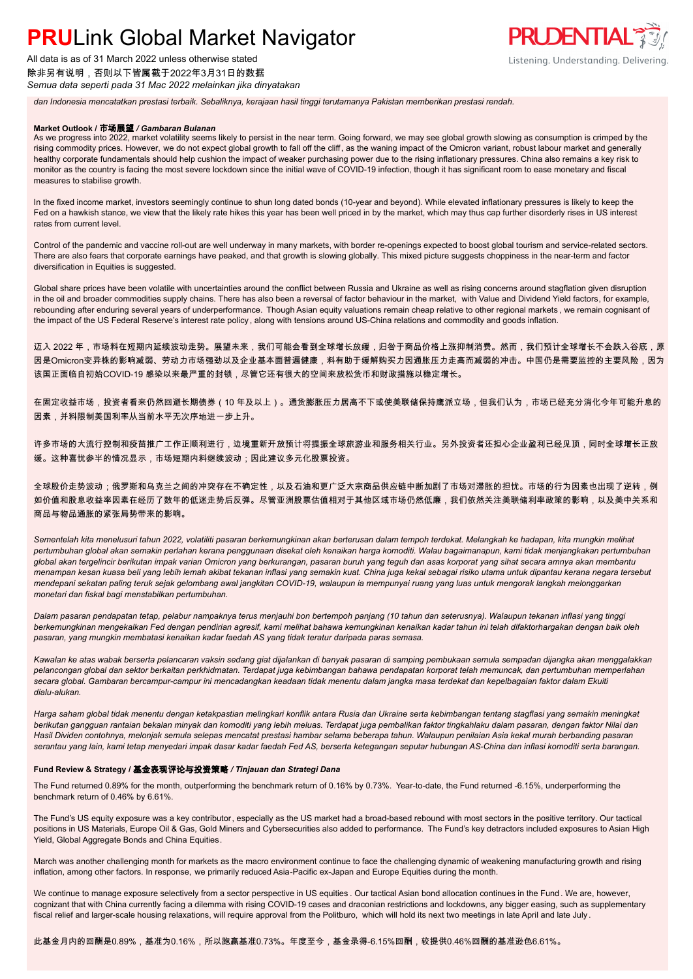

除非另有说明,否则以下皆属截于2022年3月31日的数据 *Semua data seperti pada 31 Mac 2022 melainkan jika dinyatakan*



*dan Indonesia mencatatkan prestasi terbaik. Sebaliknya, kerajaan hasil tinggi terutamanya Pakistan memberikan prestasi rendah.*

#### **Market Outlook /** 市场展望 */ Gambaran Bulanan*

As we progress into 2022, market volatility seems likely to persist in the near term. Going forward, we may see global growth slowing as consumption is crimped by the rising commodity prices. However, we do not expect global growth to fall off the cliff, as the waning impact of the Omicron variant, robust labour market and generally healthy corporate fundamentals should help cushion the impact of weaker purchasing power due to the rising inflationary pressures. China also remains a key risk to monitor as the country is facing the most severe lockdown since the initial wave of COVID-19 infection, though it has significant room to ease monetary and fiscal measures to stabilise growth.

In the fixed income market, investors seemingly continue to shun long dated bonds (10-year and beyond). While elevated inflationary pressures is likely to keep the Fed on a hawkish stance, we view that the likely rate hikes this year has been well priced in by the market, which may thus cap further disorderly rises in US interest rates from current level.

Control of the pandemic and vaccine roll-out are well underway in many markets, with border re-openings expected to boost global tourism and service-related sectors. There are also fears that corporate earnings have peaked, and that growth is slowing globally. This mixed picture suggests choppiness in the near-term and factor diversification in Equities is suggested.

Global share prices have been volatile with uncertainties around the conflict between Russia and Ukraine as well as rising concerns around stagflation given disruption in the oil and broader commodities supply chains. There has also been a reversal of factor behaviour in the market, with Value and Dividend Yield factors, for example, rebounding after enduring several years of underperformance. Though Asian equity valuations remain cheap relative to other regional markets, we remain cognisant of the impact of the US Federal Reserve's interest rate policy , along with tensions around US-China relations and commodity and goods inflation.

迈入 2022 年,市场料在短期内延续波动走势。展望未来,我们可能会看到全球增长放缓,归咎于商品价格上涨抑制消费。然而,我们预计全球增长不会跌入谷底,原 因是Omicron变异株的影响减弱、劳动力市场强劲以及企业基本面普遍健康,料有助于缓解购买力因通胀压力走高而减弱的冲击。中国仍是需要监控的主要风险,因为 该国正面临自初始COVID-19 感染以来最严重的封锁,尽管它还有很大的空间来放松货币和财政措施以稳定增长。

在固定收益市场,投资者看来仍然回避长期债券(10 年及以上)。通货膨胀压力居高不下或使美联储保持鹰派立场,但我们认为,市场已经充分消化今年可能升息的 因素,并料限制美国利率从当前水平无次序地进一步上升。

许多市场的大流行控制和疫苗推广工作正顺利进行,边境重新开放预计将提振全球旅游业和服务相关行业。另外投资者还担心企业盈利已经见顶,同时全球增长正放 缓。这种喜忧参半的情况显示,市场短期内料继续波动;因此建议多元化股票投资。

全球股价走势波动;俄罗斯和乌克兰之间的冲突存在不确定性,以及石油和更广泛大宗商品供应链中断加剧了市场对滞胀的担忧。市场的行为因素也出现了逆转,例 如价值和股息收益率因素在经历了数年的低迷走势后反弹。尽管亚洲股票估值相对于其他区域市场仍然低廉,我们依然关注美联储利率政策的影响,以及美中关系和 商品与物品通胀的紧张局势带来的影响。

*Sementelah kita menelusuri tahun 2022, volatiliti pasaran berkemungkinan akan berterusan dalam tempoh terdekat. Melangkah ke hadapan, kita mungkin melihat pertumbuhan global akan semakin perlahan kerana penggunaan disekat oleh kenaikan harga komoditi. Walau bagaimanapun, kami tidak menjangkakan pertumbuhan global akan tergelincir berikutan impak varian Omicron yang berkurangan, pasaran buruh yang teguh dan asas korporat yang sihat secara amnya akan membantu menampan kesan kuasa beli yang lebih lemah akibat tekanan inflasi yang semakin kuat. China juga kekal sebagai risiko utama untuk dipantau kerana negara tersebut mendepani sekatan paling teruk sejak gelombang awal jangkitan COVID-19, walaupun ia mempunyai ruang yang luas untuk mengorak langkah melonggarkan monetari dan fiskal bagi menstabilkan pertumbuhan.*

*Dalam pasaran pendapatan tetap, pelabur nampaknya terus menjauhi bon bertempoh panjang (10 tahun dan seterusnya). Walaupun tekanan inflasi yang tinggi berkemungkinan mengekalkan Fed dengan pendirian agresif, kami melihat bahawa kemungkinan kenaikan kadar tahun ini telah difaktorhargakan dengan baik oleh pasaran, yang mungkin membatasi kenaikan kadar faedah AS yang tidak teratur daripada paras semasa.*

*Kawalan ke atas wabak berserta pelancaran vaksin sedang giat dijalankan di banyak pasaran di samping pembukaan semula sempadan dijangka akan menggalakkan pelancongan global dan sektor berkaitan perkhidmatan. Terdapat juga kebimbangan bahawa pendapatan korporat telah memuncak, dan pertumbuhan memperlahan secara global. Gambaran bercampur-campur ini mencadangkan keadaan tidak menentu dalam jangka masa terdekat dan kepelbagaian faktor dalam Ekuiti dialu-alukan.*

*Harga saham global tidak menentu dengan ketakpastian melingkari konflik antara Rusia dan Ukraine serta kebimbangan tentang stagflasi yang semakin meningkat berikutan gangguan rantaian bekalan minyak dan komoditi yang lebih meluas. Terdapat juga pembalikan faktor tingkahlaku dalam pasaran, dengan faktor Nilai dan Hasil Dividen contohnya, melonjak semula selepas mencatat prestasi hambar selama beberapa tahun. Walaupun penilaian Asia kekal murah berbanding pasaran serantau yang lain, kami tetap menyedari impak dasar kadar faedah Fed AS, berserta ketegangan seputar hubungan AS-China dan inflasi komoditi serta barangan.*

#### **Fund Review & Strategy /** 基金表现评论与投资策略 */ Tinjauan dan Strategi Dana*

The Fund returned 0.89% for the month, outperforming the benchmark return of 0.16% by 0.73%. Year-to-date, the Fund returned -6.15%, underperforming the benchmark return of 0.46% by 6.61%.

The Fund's US equity exposure was a key contributor, especially as the US market had a broad-based rebound with most sectors in the positive territory. Our tactical positions in US Materials, Europe Oil & Gas, Gold Miners and Cybersecurities also added to performance. The Fund's key detractors included exposures to Asian High Yield, Global Aggregate Bonds and China Equities.

March was another challenging month for markets as the macro environment continue to face the challenging dynamic of weakening manufacturing growth and rising inflation, among other factors. In response, we primarily reduced Asia-Pacific ex-Japan and Europe Equities during the month.

We continue to manage exposure selectively from a sector perspective in US equities . Our tactical Asian bond allocation continues in the Fund . We are, however, cognizant that with China currently facing a dilemma with rising COVID-19 cases and draconian restrictions and lockdowns, any bigger easing, such as supplementary fiscal relief and larger-scale housing relaxations, will require approval from the Politburo, which will hold its next two meetings in late April and late July.

此基金月内的回酬是0.89%,基准为0.16%,所以跑赢基准0.73%。年度至今,基金录得-6.15%回酬,较提供0.46%回酬的基准逊色6.61%。